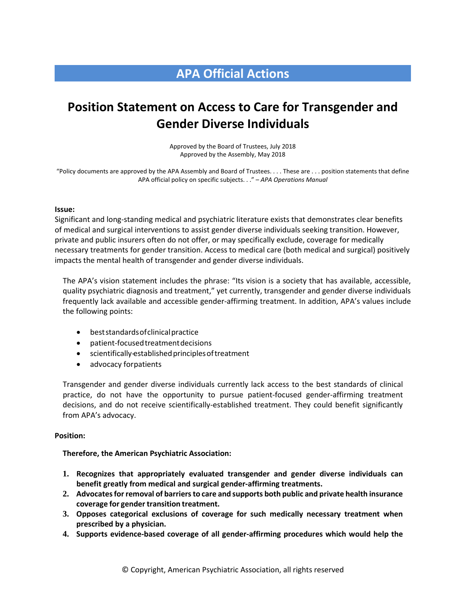## **APA Official Actions**

# **Position Statement on Access to Care for Transgender and Gender Diverse Individuals**

Approved by the Board of Trustees, July 2018 Approved by the Assembly, May 2018

"Policy documents are approved by the APA Assembly and Board of Trustees. . . . These are . . . position statements that define APA official policy on specific subjects. . ." – *APA Operations Manual*

#### **Issue:**

Significant and long-standing medical and psychiatric literature exists that demonstrates clear benefits of medical and surgical interventions to assist gender diverse individuals seeking transition. However, private and public insurers often do not offer, or may specifically exclude, coverage for medically necessary treatments for gender transition. Access to medical care (both medical and surgical) positively impacts the mental health of transgender and gender diverse individuals.

The APA's vision statement includes the phrase: "Its vision is a society that has available, accessible, quality psychiatric diagnosis and treatment," yet currently, transgender and gender diverse individuals frequently lack available and accessible gender-affirming treatment. In addition, APA's values include the following points:

- beststandardsofclinicalpractice
- patient-focusedtreatmentdecisions
- scientifically-establishedprinciplesoftreatment
- advocacy forpatients

Transgender and gender diverse individuals currently lack access to the best standards of clinical practice, do not have the opportunity to pursue patient-focused gender-affirming treatment decisions, and do not receive scientifically-established treatment. They could benefit significantly from APA's advocacy.

#### **Position:**

**Therefore, the American Psychiatric Association:**

- **1. Recognizes that appropriately evaluated transgender and gender diverse individuals can benefit greatly from medical and surgical gender-affirming treatments.**
- **2. Advocates for removal of barriers to care and supports both public and private health insurance coverage for gender transition treatment.**
- **3. Opposes categorical exclusions of coverage for such medically necessary treatment when prescribed by a physician.**
- **4. Supports evidence-based coverage of all gender-affirming procedures which would help the**